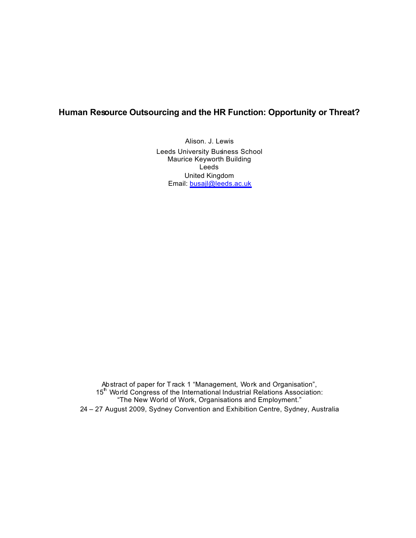# **Human Resource Outsourcing and the HR Function: Opportunity or Threat?**

Alison. J. Lewis Leeds University Business School Maurice Keyworth Building Leeds United Kingdom Email: busajl@leeds.ac.uk

Abstract of paper for T rack 1 "Management, Work and Organisation", 15<sup>th</sup> World Congress of the International Industrial Relations Association: "The New World of Work, Organisations and Employment." 24 – 27 August 2009, Sydney Convention and Exhibition Centre, Sydney, Australia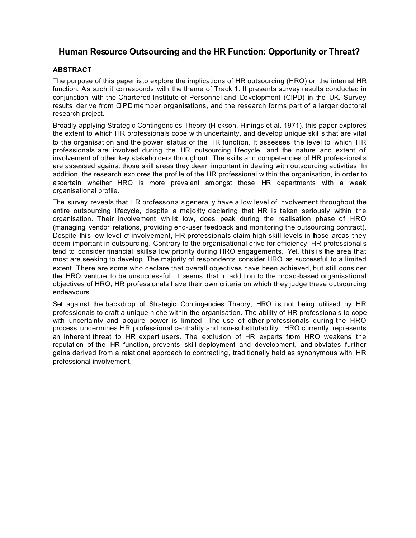# **Human Resource Outsourcing and the HR Function: Opportunity or Threat?**

# **ABSTRACT**

The purpose of this paper isto explore the implications of HR outsourcing (HRO) on the internal HR function. As such it corresponds with the theme of Track 1. It presents survey results conducted in conjunction with the Chartered Institute of Personnel and Development (CIPD) in the UK. Survey results derive from CIPD member organisations, and the research forms part of a larger doctoral research project.

Broadly applying Strategic Contingencies Theory (Hi ckson, Hinings et al. 1971), this paper explores the extent to which HR professionals cope with uncertainty, and develop unique skills that are vital to the organisation and the power status of the HR function. It assesses the level to which HR professionals are involved during the HR outsourcing lifecycle, and the nature and extent of involvement of other key stakeholders throughout. The skills and competencies of HR professional s are assessed against those skill areas they deem important in dealing with outsourcing activities. In addition, the research explores the profile of the HR professional within the organisation, in order to ascertain whether HRO is more prevalent amongst those HR departments with a weak organisational profile.

The survey reveals that HR professionals generally have a low level of involvement throughout the entire outsourcing lifecycle, despite a majority declaring that HR is taken seriously within the organisation. Their involvement whilst low, does peak during the realisation phase of HRO (managing vendor relations, providing end-user feedback and monitoring the outsourcing contract). Despite this low level of involvement, HR professionals claim high skill levels in those areas they deem important in outsourcing. Contrary to the organisational drive for efficiency, HR professional s tend to consider financial skills a low priority during HRO engagements. Yet, this is the area that most are seeking to develop. The majority of respondents consider HRO as successful to a limited extent. There are some who declare that overall objectives have been achieved, but still consider the HRO venture to be unsuccessful. It seems that in addition to the broad-based organisational objectives of HRO, HR professionals have their own criteria on which they judge these outsourcing endeavours.

Set against the backdrop of Strategic Contingencies Theory, HRO is not being utilised by HR professionals to craft a unique niche within the organisation. The ability of HR professionals to cope with uncertainty and acquire power is limited. The use of other professionals during the HRO process undermines HR professional centrality and non-substitutability. HRO currently represents an inherent threat to HR expert users. The exclusion of HR experts from HRO weakens the reputation of the HR function, prevents skill deployment and development, and obviates further gains derived from a relational approach to contracting, traditionally held as synonymous with HR professional involvement.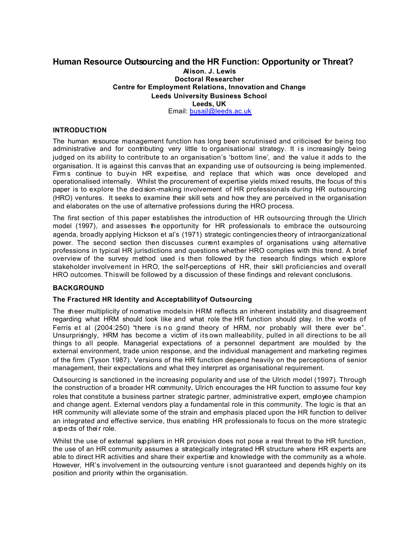# **Human Resource Outsourcing and the HR Function: Opportunity or Threat?**

#### **Alison. J. Lewis Doctoral Researcher Centre for Employment Relations, Innovation and Change Leeds University Business School Leeds, UK** Email: busajl@leeds.ac.uk

# **INTRODUCTION**

The human resource management function has long been scrutinised and criticised for being too administrative and for contributing very little to organisational strategy. It is increasingly being judged on its ability to contribute to an organisation's 'bottom line', and the value it adds to the organisation. It is against this canvas that an expanding use of outsourcing is being implemented. Firm s continue to buy-in HR expertise, and replace that which was once developed and operationalised internally. Whilst the procurement of expertise yields mixed results, the focus of thi s paper is to explore the decision-making involvement of HR professionals during HR outsourcing (HRO) ventures. It seeks to examine their skill sets and how they are perceived in the organisation and elaborates on the use of alternative professions during the HRO process.

The first section of this paper establishes the introduction of HR outsourcing through the Ulrich model (1997), and assesses the opportunity for HR professionals to embrace the outsourcing agenda, broadly applying Hickson et al's (1971) strategic contingencies theory of intraorganizational power. The second section then discusses current examples of organisations using alternative professions in typical HR jurisdictions and questions whether HRO complies with this trend. A brief overview of the survey method used is then followed by the research findings which explore stakeholder involvement in HRO, the self-perceptions of HR, their skill proficiencies and overall HRO outcomes. This will be followed by a discussion of these findings and relevant conclusions.

# **BACKGROUND**

# **The Fractured HR Identity and Acceptability of Outsourcing**

The sheer multiplicity of normative models in HRM reflects an inherent instability and disagreement regarding what HRM should look like and what role the HR function should play. In the words of Ferris et al (2004:250) "there is no grand theory of HRM, nor probably will there ever be". Unsurprisingly, HRM has become a victim of its own malleability, pulled in all directions to be all things to all people. Managerial expectations of a personnel department are moulded by the external environment, trade union response, and the individual management and marketing regimes of the firm (Tyson 1987). Versions of the HR function depend heavily on the perceptions of senior management, their expectations and what they interpret as organisational requirement.

Outsourcing is sanctioned in the increasing popularity and use of the Ulrich model (1997). Through the construction of a broader HR community, Ulrich encourages the HR function to assume four key roles that constitute a business partner: strategic partner, administrative expert, employee champion and change agent. External vendors play a fundamental role in this community. The logic is that an HR community will alleviate some of the strain and emphasis placed upon the HR function to deliver an integrated and effective service, thus enabling HR professionals to focus on the more strategic aspects of their role.

Whilst the use of external suppliers in HR provision does not pose a real threat to the HR function, the use of an HR community assumes a strategically integrated HR structure where HR experts are able to direct HR activities and share their expertise and knowledge with the community as a whole. However, HR's involvement in the outsourcing venture is not guaranteed and depends highly on its position and priority within the organisation.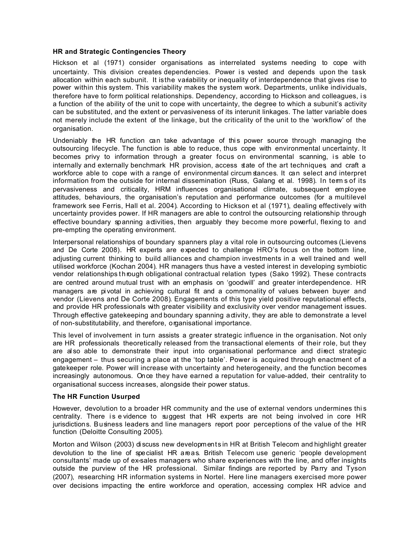#### **HR and Strategic Contingencies Theory**

Hickson et al (1971) consider organisations as interrelated systems needing to cope with uncertainty. This division creates dependencies. Power is vested and depends upon the task allocation within each subunit. It is the variability or inequality of interdependence that gives rise to power within this system. This variability makes the system work. Departments, unlike individuals, therefore have to form political relationships. Dependency, according to Hickson and colleagues, i s a function of the ability of the unit to cope with uncertainty, the degree to which a subunit's activity can be substituted, and the extent or pervasiveness of its interunit linkages. The latter variable does not merely include the extent of the linkage, but the criticality of the unit to the 'workflow' of the organisation.

Undeniably the HR function can take advantage of this power source through managing the outsourcing lifecycle. The function is able to reduce, thus cope with environmental uncertainty. It becomes privy to information through a greater focus on environmental scanning, is able to internally and externally benchmark HR provision, access state of the art techniques, and craft a workforce able to cope with a range of environmental circum stances. It can select and interpret information from the outside for internal dissemination (Russ, Galang et al. 1998). In term s of its pervasiveness and criticality, HRM influences organisational climate, subsequent employee attitudes, behaviours, the organisation's reputation and performance outcomes (for a multilevel framework see Ferris, Hall et al. 2004). According to Hickson et al (1971), dealing effectively with uncertainty provides power. If HR managers are able to control the outsourcing relationship through effective boundary spanning activities, then arguably they become more powerful, flexing to and pre-empting the operating environment.

Interpersonal relationships of boundary spanners play a vital role in outsourcing outcomes (Lievens and De Corte 2008). HR experts are expected to challenge HRO's focus on the bottom line, adjusting current thinking to build alliances and champion investments in a well trained and well utilised workforce (Kochan 2004). HR managers thus have a vested interest in developing symbiotic vendor relationships through obligational contractual relation types (Sako 1992). These contracts are centred around mutual trust with an emphasis on 'goodwill' and greater interdependence. HR managers are pivotal in achieving cultural fit and a commonality of values between buyer and vendor (Lievens and De Corte 2008). Engagements of this type yield positive reputational effects, and provide HR professionals with greater visibility and exclusivity over vendor management issues. Through effective gatekeeping and boundary spanning activity, they are able to demonstrate a level of non-substitutability, and therefore, organisational importance.

This level of involvement in turn assists a greater strategic influence in the organisation. Not only are HR professionals theoretically released from the transactional elements of their role, but they are also able to demonstrate their input into organisational performance and direct strategic engagement – thus securing a place at the 'top table'. Power is acquired through enactment of a gatekeeper role. Power will increase with uncertainty and heterogeneity, and the function becomes increasingly autonomous. Once they have earned a reputation for value-added, their centrality to organisational success increases, alongside their power status.

#### **The HR Function Usurped**

However, devolution to a broader HR community and the use of external vendors undermines this centrality. There is evidence to suggest that HR experts are not being involved in core HR jurisdictions. Business leaders and line managers report poor perceptions of the value of the HR function (Deloitte Consulting 2005).

Morton and Wilson (2003) di scuss new developments in HR at British Telecom and highlight greater devolution to the line of specialist HR areas. British Telecom use generic 'people development consultants' made up of ex-sales managers who share experiences with the line, and offer insights outside the purview of the HR professional. Similar findings are reported by Parry and Tyson (2007), researching HR information systems in Nortel. Here line managers exercised more power over decisions impacting the entire workforce and operation, accessing complex HR advice and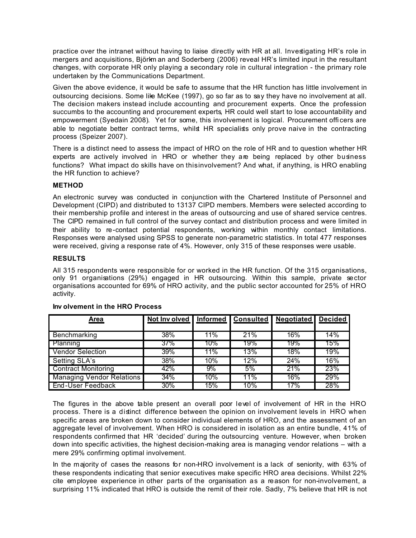practice over the intranet without having to liaise directly with HR at all. Investigating HR's role in mergers and acquisitions, Björkm an and Soderberg (2006) reveal HR's limited input in the resultant changes, with corporate HR only playing a secondary role in cultural integration - the primary role undertaken by the Communications Department.

Given the above evidence, it would be safe to assume that the HR function has little involvement in outsourcing decisions. Some like McKee (1997), go so far as to say they have no involvement at all. The decision makers instead include accounting and procurement experts. Once the profession succumbs to the accounting and procurement experts, HR could well start to lose accountability and empowerment (Syedain 2008). Yet for some, this involvement is logical. Procurement offi cers are able to negotiate better contract terms, whilst HR specialists only prove naive in the contracting process (Speizer 2007).

There is a distinct need to assess the impact of HRO on the role of HR and to question whether HR experts are actively involved in HRO or whether they are being replaced by other business functions? What impact do skills have on this involvement? And what, if anything, is HRO enabling the HR function to achieve?

#### **METHOD**

An electronic survey was conducted in conjunction with the Chartered Institute of Personnel and Development (CIPD) and distributed to 13137 CIPD members. Members were selected according to their membership profile and interest in the areas of outsourcing and use of shared service centres. The CIPD remained in full control of the survey contact and distribution process and were limited in their ability to re-contact potential respondents, working within monthly contact limitations. Responses were analysed using SPSS to generate non-parametric statistics. In total 477 responses were received, giving a response rate of 4%. However, only 315 of these responses were usable.

#### **RESULTS**

All 315 respondents were responsible for or worked in the HR function. Of the 315 organisations, only 91 organisations (29%) engaged in HR outsourcing. Within this sample, private sector organisations accounted for 69% of HRO activity, and the public sector accounted for 25% of HRO activity.

| Area                             | Not Inv olved | <b>Informed</b> | <b>Consulted</b> | <b>Negotiated</b> | <b>Decided</b> |
|----------------------------------|---------------|-----------------|------------------|-------------------|----------------|
|                                  |               |                 |                  |                   |                |
| Benchmarking                     | 38%           | 11%             | 21%              | 16%               | 14%            |
| Planning                         | $37\%$        | 10%             | 19%              | 19%               | 15%            |
| <b>Vendor Selection</b>          | 39%           | 11%             | 13%              | 18%               | 19%            |
| Setting SLA's                    | 38%           | 10%             | 12%              | 24%               | 16%            |
| <b>Contract Monitoring</b>       | 42%           | 9%              | 5%               | 21%               | 23%            |
| <b>Managing Vendor Relations</b> | 34%           | 10%             | 11%              | 16%               | 29%            |
| End-User Feedback                | 30%           | 15%             | 10%              | 17%               | 28%            |

#### **Inv olvement in the HRO Process**

The figures in the above table present an overall poor level of involvement of HR in the HRO process. There is a distinct difference between the opinion on involvement levels in HRO when specific areas are broken down to consider individual elements of HRO, and the assessment of an aggregate level of involvement. When HRO is considered in isolation as an entire bundle, 41% of respondents confirmed that HR 'decided' during the outsourcing venture. However, when broken down into specific activities, the highest decision-making area is managing vendor relations – with a mere 29% confirming optimal involvement.

In the majority of cases the reasons for non-HRO involvement is a lack of seniority, with 63% of these respondents indicating that senior executives make specific HRO area decisions. Whilst 22% cite employee experience in other parts of the organisation as a reason for non-involvement, a surprising 11% indicated that HRO is outside the remit of their role. Sadly, 7% believe that HR is not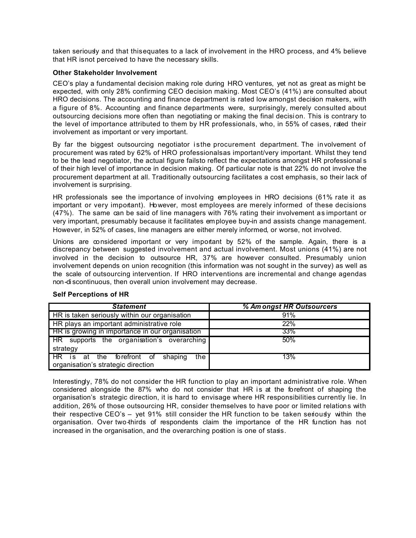taken seriously and that this equates to a lack of involvement in the HRO process, and 4% believe that HR is not perceived to have the necessary skills.

#### **Other Stakeholder Involvement**

CEO's play a fundamental decision making role during HRO ventures, yet not as great as might be expected, with only 28% confirming CEO decision making. Most CEO's (41%) are consulted about HRO decisions. The accounting and finance department is rated low amongst decision makers, with a figure of 8%. Accounting and finance departments were, surprisingly, merely consulted about outsourcing decisions more often than negotiating or making the final decisi on. This is contrary to the level of importance attributed to them by HR professionals, who, in 55% of cases, rated their involvement as important or very important.

By far the biggest outsourcing negotiator is the procurement department. The involvement of procurement was rated by 62% of HRO professionalsas important/very important. Whilst they tend to be the lead negotiator, the actual figure fails to reflect the expectations amongst HR professional s of their high level of importance in decision making. Of particular note is that 22% do not involve the procurement department at all. Traditionally outsourcing facilitates a cost emphasis, so their lack of involvement is surprising.

HR professionals see the importance of involving employees in HRO decisions (61% rate it as important or very important). However, most employees are merely informed of these decisions (47%). The same can be said of line managers with 76% rating their involvement as important or very important, presumably because it facilitates employee buy-in and assists change management. However, in 52% of cases, line managers are either merely informed, or worse, not involved.

Unions are considered important or very important by 52% of the sample. Again, there is a discrepancy between suggested involvement and actual involvement. Most unions (41%) are not involved in the decision to outsource HR, 37% are however consulted. Presumably union involvement depends on union recognition (this information was not sought in the survey) as well as the scale of outsourcing intervention. If HRO interventions are incremental and change agendas non-di scontinuous, then overall union involvement may decrease.

| <b>Statement</b>                                                                             | % Am ongst HR Outsourcers |  |  |
|----------------------------------------------------------------------------------------------|---------------------------|--|--|
| HR is taken seriously within our organisation                                                | 91%                       |  |  |
| HR plays an important administrative role                                                    | 22%                       |  |  |
| HR is growing in importance in our organisation                                              | 33%                       |  |  |
| HR supports the organisation's overarching                                                   | 50%                       |  |  |
| strategy                                                                                     |                           |  |  |
| forefront of<br>the I<br>HR is<br>shaping<br>the<br>at<br>organisation's strategic direction | 13%                       |  |  |

# **Self Perceptions of HR**

Interestingly, 78% do not consider the HR function to play an important administrative role. When considered alongside the 87% who do not consider that HR is at the forefront of shaping the organisation's strategic direction, it is hard to envisage where HR responsibilities currently lie. In addition, 26% of those outsourcing HR, consider themselves to have poor or limited relations with their respective CEO's – yet 91% still consider the HR function to be taken seriously within the organisation. Over two-thirds of respondents claim the importance of the HR function has not increased in the organisation, and the overarching position is one of stasis.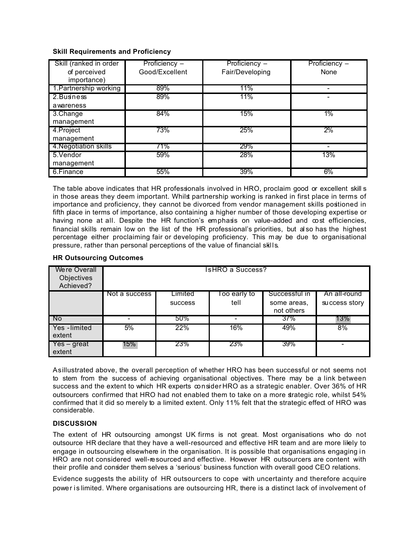#### **Skill Requirements and Proficiency**

| Skill (ranked in order<br>of perceived<br>importance) | Proficiency -<br>Good/Excellent | Proficiency -<br>Fair/Developing | Proficiency -<br>None |
|-------------------------------------------------------|---------------------------------|----------------------------------|-----------------------|
| 1. Partnership working                                | 89%                             | 11%                              |                       |
| 2. Business<br>awareness                              | 89%                             | 11%                              |                       |
| 3.Change<br>management                                | 84%                             | 15%                              | 1%                    |
| 4. Project<br>management                              | 73%                             | 25%                              | 2%                    |
| 4. Negotiation skills                                 | 71%                             | 29%                              |                       |
| 5. Vendor<br>management                               | 59%                             | 28%                              | 13%                   |
| 6.Finance                                             | 55%                             | 39%                              | 6%                    |

The table above indicates that HR professionals involved in HRO, proclaim good or excellent skill s in those areas they deem important. Whilst partnership working is ranked in first place in terms of importance and proficiency, they cannot be divorced from vendor management skills positioned in fifth place in terms of importance, also containing a higher number of those developing expertise or having none at all. Despite the HR function's emphasis on value-added and cost efficiencies, financial skills remain low on the list of the HR professional's priorities, but also has the highest percentage either proclaiming fair or developing proficiency. This may be due to organisational pressure, rather than personal perceptions of the value of financial skills.

| <b>Were Overall</b><br>Objectives<br>Achieved? | <b>IsHRO a Success?</b> |                |               |                           |               |  |  |
|------------------------------------------------|-------------------------|----------------|---------------|---------------------------|---------------|--|--|
|                                                | Not a success           | Limited        | l oo early to | Successful in             | An all-round  |  |  |
|                                                |                         | <b>SUCCESS</b> | tell          | some areas.<br>not others | success story |  |  |
| No.                                            |                         | 50%            |               | $37\%$                    | 13%           |  |  |
| Yes - limited<br>extent                        | 5%                      | 22%            | 16%           | 49%                       | 8%            |  |  |
| Yes – great<br>extent                          | $15\%$                  | 23%            | 23%           | 39%                       |               |  |  |

#### **HR Outsourcing Outcomes**

As illustrated above, the overall perception of whether HRO has been successful or not seems not to stem from the success of achieving organisational objectives. There may be a link between success and the extent to which HR experts consider HRO as a strategic enabler. Over 36% of HR outsourcers confirmed that HRO had not enabled them to take on a more strategic role, whilst 54% confirmed that it did so merely to a limited extent. Only 11% felt that the strategic effect of HRO was considerable.

# **DISCUSSION**

The extent of HR outsourcing amongst UK firms is not great. Most organisations who do not outsource HR declare that they have a well-resourced and effective HR team and are more likely to engage in outsourcing elsewhere in the organisation. It is possible that organisations engaging in HRO are not considered well-resourced and effective. However HR outsourcers are content with their profile and consider them selves a 'serious' business function with overall good CEO relations.

Evidence suggests the ability of HR outsourcers to cope with uncertainty and therefore acquire power is limited. Where organisations are outsourcing HR, there is a distinct lack of involvement of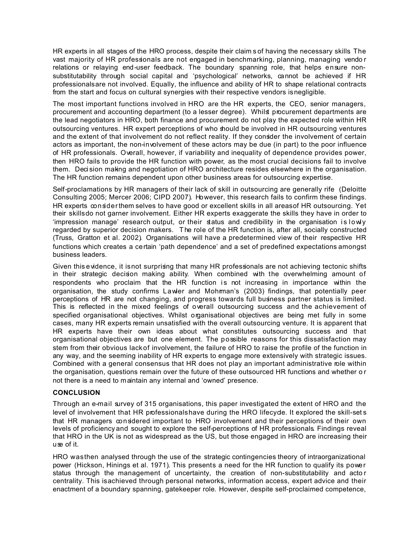HR experts in all stages of the HRO process, despite their claim s of having the necessary skills. The vast majority of HR professionals are not engaged in benchmarking, planning, managing vendo r relations or relaying end-user feedback. The boundary spanning role, that helps ensure nonsubstitutability through social capital and 'psychological' networks, cannot be achieved if HR professionals are not involved. Equally, the influence and ability of HR to shape relational contracts from the start and focus on cultural synergies with their respective vendors isnegligible.

The most important functions involved in HRO are the HR experts, the CEO, senior managers, procurement and accounting department (to a lesser degree). Whilst procurement departments are the lead negotiators in HRO, both finance and procurement do not play the expected role within HR outsourcing ventures. HR expert perceptions of who should be involved in HR outsourcing ventures and the extent of that involvement do not reflect reality. If they consider the involvement of certain actors as important, the non-involvement of these actors may be due (in part) to the poor influence of HR professionals. Overall, however, if variability and inequality of dependence provides power, then HRO fails to provide the HR function with power, as the most crucial decisions fail to involve them. Deci sion making and negotiation of HRO architecture resides elsewhere in the organisation. The HR function remains dependent upon other business areas for outsourcing expertise.

Self-proclamations by HR managers of their lack of skill in outsourcing are generally rife (Deloitte Consulting 2005; Mercer 2006; CIPD 2007). However, this research fails to confirm these findings. HR experts consider them selves to have good or excellent skills in all areas of HR outsourcing. Yet their skills do not garner involvement. Either HR experts exaggerate the skills they have in order to 'impression manage' research output, or their status and credibility in the organisation i s lowly regarded by superior decision makers. T he role of the HR function is, after all, socially constructed (Truss, Gratton et al. 2002). Organisations will have a predetermined view of their respective HR functions which creates a certain 'path dependence' and a set of predefined expectations amongst business leaders.

Given this evidence, it is not surprising that many HR professionals are not achieving tectonic shifts in their strategic decision making ability. When combined with the overwhelming amount of respondents who proclaim that the HR function is not increasing in importance within the organisation, the study confirms Lawler and Mohrman's (2003) findings, that potentially peer perceptions of HR are not changing, and progress towards full business partner status is limited. This is reflected in the mixed feelings of overall outsourcing success and the achievement of specified organisational objectives. Whilst organisational objectives are being met fully in some cases, many HR experts remain unsatisfied with the overall outsourcing venture. It is apparent that HR experts have their own ideas about what constitutes outsourcing success and that organisational objectives are but one element. The possible reasons for this dissatisfaction may stem from their obvious lack of involvement, the failure of HRO to raise the profile of the function in any way, and the seeming inability of HR experts to engage more extensively with strategic issues. Combined with a general consensus that HR does not play an important administrative role within the organisation, questions remain over the future of these outsourced HR functions and whether or not there is a need to maintain any internal and 'owned' presence.

# **CONCLUSION**

Through an e-mail survey of 315 organisations, this paper investigated the extent of HRO and the level of involvement that HR professionalshave during the HRO lifecyde. It explored the skill-sets that HR managers considered important to HRO involvement and their perceptions of their own levels of proficiency and sought to explore the self-perceptions of HR professionals. Findings reveal that HRO in the UK is not as widespread as the US, but those engaged in HRO are increasing their use of it.

HRO was then analysed through the use of the strategic contingencies theory of intraorganizational power (Hickson, Hinings et al. 1971). This presents a need for the HR function to qualify its power status through the management of uncertainty, the creation of non-substitutability and actor centrality. This is achieved through personal networks, information access, expert advice and their enactment of a boundary spanning, gatekeeper role. However, despite self-proclaimed competence,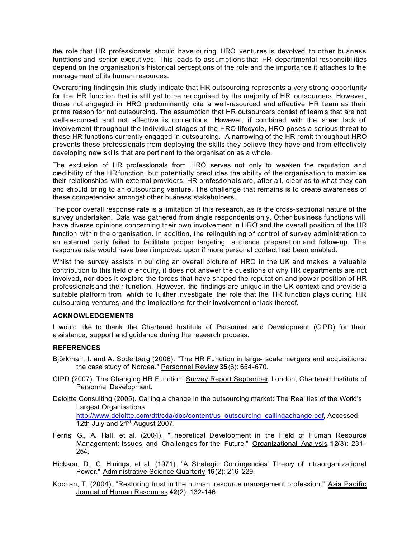the role that HR professionals should have during HRO ventures is devolved to other business functions and senior executives. This leads to assumptions that HR departmental responsibilities depend on the organisation's historical perceptions of the role and the importance it attaches to the management of its human resources.

Overarching findings in this study indicate that HR outsourcing represents a very strong opportunity for the HR function that is still yet to be recognised by the majority of HR outsourcers. However, those not engaged in HRO predominantly cite a well-resourced and effective HR team as their prime reason for not outsourcing. The assumption that HR outsourcers consst of team s that are not well-resourced and not effective is contentious. However, if combined with the sheer lack of involvement throughout the individual stages of the HRO lifecycle, HRO poses a serious threat to those HR functions currently engaged in outsourcing. A narrowing of the HR remit throughout HRO prevents these professionals from deploying the skills they believe they have and from effectively developing new skills that are pertinent to the organisation as a whole.

The exclusion of HR professionals from HRO serves not only to weaken the reputation and credibility of the HR function, but potentially precludes the ability of the organisation to maximise their relationships with external providers. HR professionals are, after all, clear as to what they can and should bring to an outsourcing venture. The challenge that remains is to create awareness of these competencies amongst other business stakeholders.

The poor overall response rate is a limitation of this research, as is the cross- sectional nature of the survey undertaken. Data was gathered from single respondents only. Other business functions will have diverse opinions concerning their own involvement in HRO and the overall position of the HR function within the organisation. In addition, the relinguishing of control of survey administration to an external party failed to facilitate proper targeting, audience preparation and follow-up. The response rate would have been improved upon if more personal contact had been enabled.

Whilst the survey assists in building an overall picture of HRO in the UK and makes a valuable contribution to this field of enquiry, it does not answer the questions of why HR departments are not involved, nor does it explore the forces that have shaped the reputation and power position of HR professionals and their function. However, the findings are unique in the UK context and provide a suitable platform from which to further investigate the role that the HR function plays during HR outsourcing ventures, and the implications for their involvement or lack thereof.

#### **ACKNOWLEDGEMENTS**

I would like to thank the Chartered Institute of Personnel and Development (CIPD) for their assi stance, support and guidance during the research process.

# **REFERENCES**

- Björkman, I. and A. Soderberg (2006). "The HR Function in large- scale mergers and acquisitions: the case study of Nordea." Personnel Review **35**(6): 654-670.
- CIPD (2007). The Changing HR Function. Survey Report September. London, Chartered Institute of Personnel Development.
- Deloitte Consulting (2005). Calling a change in the outsourcing market: The Realities of the World's Largest Organisations. http://www.deloitte.com/dtt/cda/doc/content/us\_outsourcing\_callingachange.pdf, Accessed 12th July and 21<sup>st</sup> August 2007.
- Ferris, G., A. Hall, et al. (2004). "Theoretical Development in the Field of Human Resource Management: Issues and Challenges for the Future." Organizational Analysis **12**(3): 231-254.
- Hickson, D., C. Hinings, et al. (1971). "A Strategic Contingencies' Theory of Intraorgani zational Power." Administrative Science Quarterly **16**(2): 216-229.
- Kochan, T. (2004). "Restoring trust in the human resource management profession." Asia Pacific Journal of Human Resources **42**(2): 132-146.